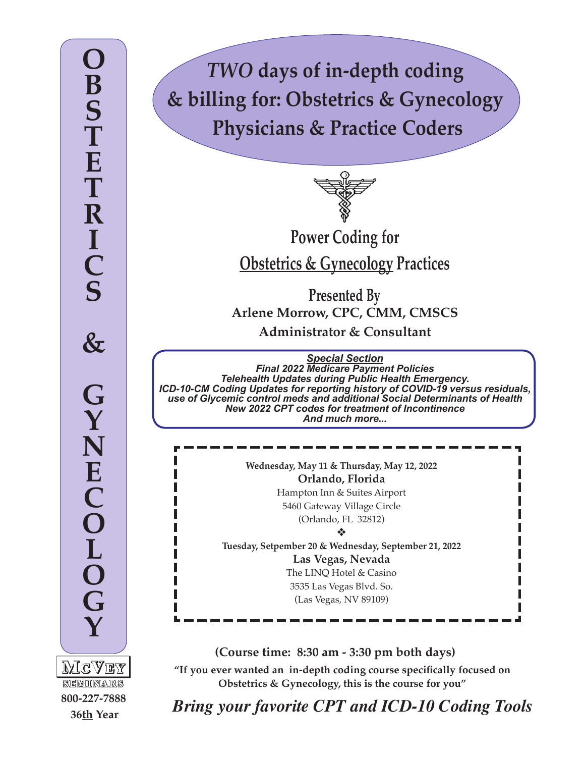*TWO* **days of in-depth coding & billing for: Obstetrics & Gynecology Physicians & Practice Coders**



**Power Coding for Obstetrics & Gynecology Practices**

**Presented By Arlene Morrow, CPC, CMM, CMSCS Administrator & Consultant**

*Special Section Final 2022 Medicare Payment Policies Telehealth Updates during Public Health Emergency. ICD-10-CM Coding Updates for reporting history of COVID-19 versus residuals, use of Glycemic control meds and additional Social Determinants of Health New 2022 CPT codes for treatment of Incontinence And much more...*

> **Wednesday, May 11 & Thursday, May 12, 2022 Orlando, Florida** Hampton Inn & Suites Airport 5460 Gateway Village Circle (Orlando, FL 32812)

v

**Tuesday, Setpember 20 & Wednesday, September 21, 2022 Las Vegas, Nevada** The LINQ Hotel & Casino

3535 Las Vegas Blvd. So. (Las Vegas, NV 89109)

MCVEY SEMINARS **800-227-7888 36th Year**

**(Course time: 8:30 am - 3:30 pm both days)**

**"If you ever wanted an in-depth coding course specifically focused on Obstetrics & Gynecology, this is the course for you"**

*Bring your favorite CPT and ICD-10 Coding Tools*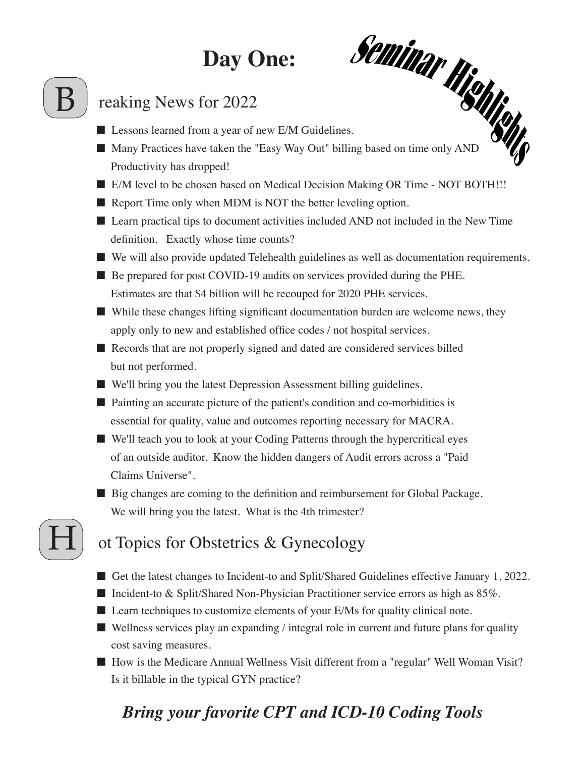# **Day One:**

# Day One: <br>
Fracting News for 2022<br>
■ Lessons learned from a year of new E/M Guidelines.

#### reaking News for 2022

- 
- Many Practices have taken the "Easy Way Out" billing based on time only AND Productivity has dropped!
- E/M level to be chosen based on Medical Decision Making OR Time NOT BOTH!!!
- Report Time only when MDM is NOT the better leveling option.
- Learn practical tips to document activities included AND not included in the New Time definition. Exactly whose time counts?
- We will also provide updated Telehealth guidelines as well as documentation requirements.
- Be prepared for post COVID-19 audits on services provided during the PHE. Estimates are that \$4 billion will be recouped for 2020 PHE services.
- While these changes lifting significant documentation burden are welcome news, they apply only to new and established office codes / not hospital services.
- Records that are not properly signed and dated are considered services billed but not performed.
- We'll bring you the latest Depression Assessment billing guidelines.
- Painting an accurate picture of the patient's condition and co-morbidities is essential for quality, value and outcomes reporting necessary for MACRA.
- We'll teach you to look at your Coding Patterns through the hypercritical eyes of an outside auditor. Know the hidden dangers of Audit errors across a "Paid Claims Universe".
- Big changes are coming to the definition and reimbursement for Global Package. We will bring you the latest. What is the 4th trimester?

## ot Topics for Obstetrics & Gynecology

H

- Get the latest changes to Incident-to and Split/Shared Guidelines effective January 1, 2022.
- Incident-to & Split/Shared Non-Physician Practitioner service errors as high as 85%.
- Learn techniques to customize elements of your E/Ms for quality clinical note.
- Wellness services play an expanding / integral role in current and future plans for quality cost saving measures.
- How is the Medicare Annual Wellness Visit different from a "regular" Well Woman Visit? Is it billable in the typical GYN practice?

# *Bring your favorite CPT and ICD-10 Coding Tools*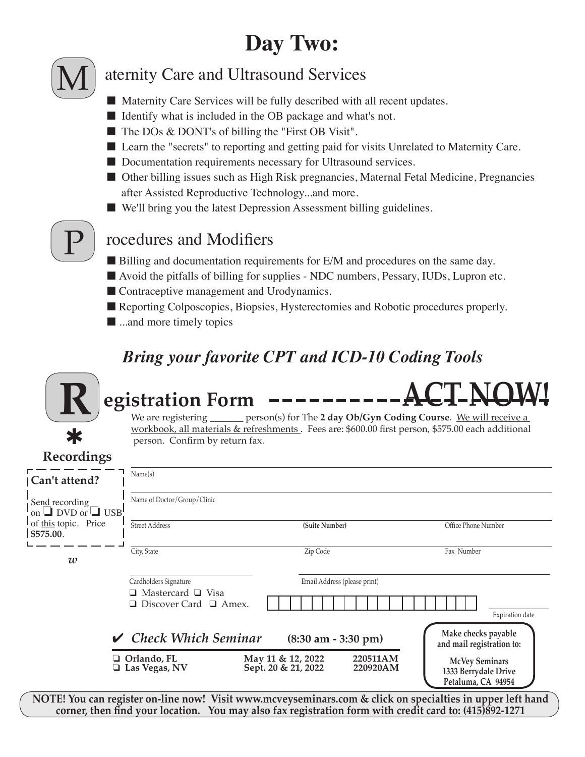# **Day Two:**



#### aternity Care and Ultrasound Services

- Maternity Care Services will be fully described with all recent updates.
- Identify what is included in the OB package and what's not.
- The DOs & DONT's of billing the "First OB Visit".
- Learn the "secrets" to reporting and getting paid for visits Unrelated to Maternity Care.
- Documentation requirements necessary for Ultrasound services.
- Other billing issues such as High Risk pregnancies, Maternal Fetal Medicine, Pregnancies after Assisted Reproductive Technology...and more.
- We'll bring you the latest Depression Assessment billing guidelines.



#### rocedures and Modifiers

- Billing and documentation requirements for E/M and procedures on the same day.
- Avoid the pitfalls of billing for supplies NDC numbers, Pessary, IUDs, Lupron etc.
- Contraceptive management and Urodynamics.
- Reporting Colposcopies, Biopsies, Hysterectomies and Robotic procedures properly.
- ...and more timely topics

### *Bring your favorite CPT and ICD-10 Coding Tools*



# **Registration Form**

**ACT NOW!**

person(s) for The 2 day Ob/Gyn Coding Course. We will receive a workbook, all materials & refreshments. Fees are: \$600.00 first person, \$575.00 each additional person. Confirm by return fax.

**Recordings**

| Can't attend?                                                                                             | Name(s)                                                                                     |                                                                  |                                                                     |
|-----------------------------------------------------------------------------------------------------------|---------------------------------------------------------------------------------------------|------------------------------------------------------------------|---------------------------------------------------------------------|
| Send recording<br>on $\Box$ DVD or $\Box$ USB!                                                            | Name of Doctor/Group/Clinic                                                                 |                                                                  |                                                                     |
| of this topic. Price<br>\$575.00.                                                                         | <b>Street Address</b>                                                                       | (Suite Number)                                                   | Office Phone Number                                                 |
| w                                                                                                         | City, State                                                                                 | Zip Code                                                         | Fax Number                                                          |
|                                                                                                           | Cardholders Signature<br>$\Box$ Mastercard $\Box$ Visa<br>$\Box$ Discover Card $\Box$ Amex. | Email Address (please print)                                     | Expiration date                                                     |
|                                                                                                           | $\vee$ Check Which Seminar                                                                  | $(8:30 \text{ am} - 3:30 \text{ pm})$                            | Make checks payable<br>and mail registration to:                    |
|                                                                                                           | $\Box$ Orlando, FL<br>$\Box$ Las Vegas, NV                                                  | May 11 & 12, 2022<br>220511AM<br>Sept. 20 & 21, 2022<br>220920AM | <b>McVey Seminars</b><br>1333 Berrydale Drive<br>Petaluma, CA 94954 |
| NOTE! You can register on-line now! Visit www.mcvevseminars.com & click on specialties in upper left hand |                                                                                             |                                                                  |                                                                     |

**NOTE! You can register on-line now! Visit www.mcveyseminars.com & click on specialties in upper left hand corner, then find your location. You may also fax registration form with credit card to: (415)892-1271**